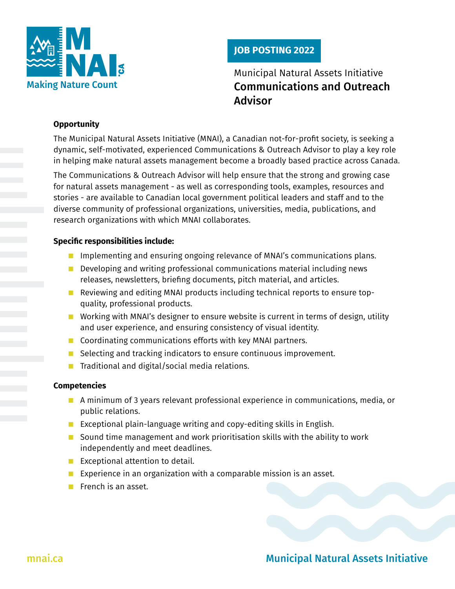

# **JOB POSTING 2022**

# Municipal Natural Assets Initiative Communications and Outreach Advisor

## **Opportunity**

The Municipal Natural Assets Initiative (MNAI), a Canadian not-for-profit society, is seeking a dynamic, self-motivated, experienced Communications & Outreach Advisor to play a key role in helping make natural assets management become a broadly based practice across Canada.

The Communications & Outreach Advisor will help ensure that the strong and growing case for natural assets management - as well as corresponding tools, examples, resources and stories - are available to Canadian local government political leaders and staff and to the diverse community of professional organizations, universities, media, publications, and research organizations with which MNAI collaborates.

## **Specific responsibilities include:**

- **IMP** Implementing and ensuring ongoing relevance of MNAI's communications plans.
- **Developing and writing professional communications material including news** releases, newsletters, briefing documents, pitch material, and articles.
- Reviewing and editing MNAI products including technical reports to ensure topquality, professional products.
- **Number 1** Working with MNAI's designer to ensure website is current in terms of design, utility and user experience, and ensuring consistency of visual identity.
- Coordinating communications efforts with key MNAI partners.
- Selecting and tracking indicators to ensure continuous improvement.
- $\blacksquare$  Traditional and digital/social media relations.

## **Competencies**

- A minimum of 3 years relevant professional experience in communications, media, or public relations.
- Exceptional plain-language writing and copy-editing skills in English.
- Sound time management and work prioritisation skills with the ability to work independently and meet deadlines.
- $\blacksquare$  Exceptional attention to detail.
- **Experience in an organization with a comparable mission is an asset.**
- **Fig.** French is an asset.

# [mnai.ca](http://mnai.ca) **Municipal Natural Assets Initiative** Municipal Natural Assets Initiative